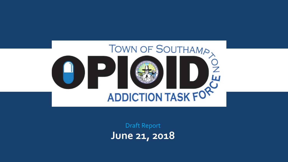

**June 21, 2018**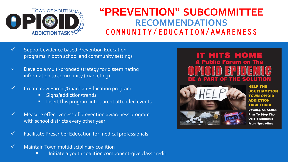

# **"PREVENTION" SUBCOMMITTEE RECOMMENDATIONS** COMMUNITY/EDUCATION/AWARENESS

- Support evidence based Prevention Education programs in both school and community settings
- Develop a multi-pronged strategy for disseminating information to community (marketing)
- Create new Parent/Guardian Education program
	- **Signs/addiction/trends**
	- **IF Insert this program into parent attended events**
- Measure effectiveness of prevention awareness program with school districts every other year
- Facilitate Prescriber Education for medical professionals
- Maintain Town multidisciplinary coalition
	- **Initiate a youth coalition component-give class credit**

# **IT HITS HOME A Public Forum on SOLUTION**



**HELP THE SOUTHAMPTON TOWN OPIOID ADDICTION TASK FORCE Develop An Action Plan To Stop The Opioid Epidemic From Spreading**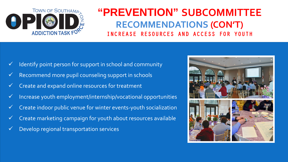

# **"PREVENTION" SUBCOMMITTEE RECOMMENDATIONS (CON'T)** INCREASE RESOURCES AND ACCESS FOR YOUTH

- $\checkmark$  Identify point person for support in school and community
- $\checkmark$  Recommend more pupil counseling support in schools
- $\checkmark$  Create and expand online resources for treatment
- $\checkmark$  Increase youth employment/internship/vocational opportunities
- $\checkmark$  Create indoor public venue for winter events-youth socialization
- $\checkmark$  Create marketing campaign for youth about resources available
- $\checkmark$  Develop regional transportation services

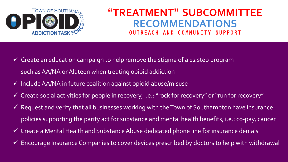

### **"TREATMENT" SUBCOMMITTEE RECOMMENDATIONS** AND COMMUNITY SUPPORT

- $\checkmark$  Create an education campaign to help remove the stigma of a 12 step program such as AA/NA or Alateen when treating opioid addiction
- $\checkmark$  Include AA/NA in future coalition against opioid abuse/misuse
- $\checkmark$  Create social activities for people in recovery, i.e.: "rock for recovery" or "run for recovery"
- $\checkmark$  Request and verify that all businesses working with the Town of Southampton have insurance policies supporting the parity act for substance and mental health benefits, i.e.: co-pay, cancer
- $\checkmark$  Create a Mental Health and Substance Abuse dedicated phone line for insurance denials
- $\checkmark$  Encourage Insurance Companies to cover devices prescribed by doctors to help with withdrawal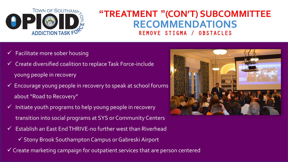

### **"TREATMENT "(CON'T) SUBCOMMITTEE RECOMMENDATIONS** REMOVE STIGMA / OBSTACLES

- Facilitate more sober housing
- Create diversified coalition to replace Task Force-include young people in recovery
- $\checkmark$  Encourage young people in recovery to speak at school forums about "Road to Recovery"
- Initiate youth programs to help young people in recovery transition into social programs at SYS or Community Centers
- Establish an East End THRIVE-no further west than Riverhead
	- $\checkmark$  Stony Brook Southampton Campus or Gabreski Airport
- Create marketing campaign for outpatient services that are person centered

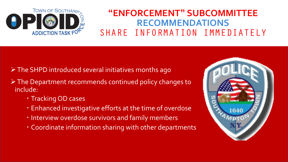

# **"ENFORCEMENT" SUBCOMMITTEE RECOMMENDATIONS** SHARE INFORMATION IMMEDIATELY

- > The SHPD introduced several initiatives months ago
- $\triangleright$  The Department recommends continued policy changes to include:
	- Tracking OD cases
	- Enhanced investigative efforts at the time of overdose
	- **· Interview overdose survivors and family members**
	- Coordinate information sharing with other departments

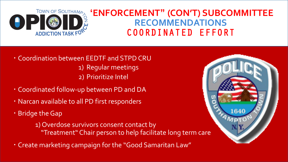

# **ENFORCEMENT" (CON'T) SUBCOMMITTEE RECOMMENDATIONS** COORDINATED EFFORT

- Coordination between EEDTF and STPD CRU 1) Regular meetings 2) Prioritize Intel
- Coordinated follow-up between PD and DA
- Narcan available to all PD first responders
- Bridge the Gap

1) Overdose survivors consent contact by "Treatment" Chair person to help facilitate long term care

Create marketing campaign for the "Good Samaritan Law"

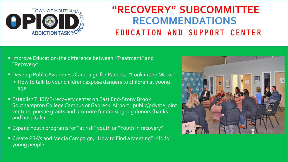

# **"RECOVERY" SUBCOMMITTEE RECOMMENDATIONS** EDUCATION AND SUPPORT CENTER

- Improve Education-the difference between "Treatment" and "Recovery"
- Develop Public Awareness Campaign for Parents-"Look in the Mirror"
	- How to talk to your children; expose dangers to children at young age
- **Establish THRIVE-recovery center on East End-Stony Brook** Southampton College Campus or Gabreski Airport, public/private joint venture, pursue grants and promote fundraising-big donors (banks and hospitals)
- Expand Youth programs for "at risk" youth or "Youth in recovery"
- Create PSA's and Media Campaign, "How to Find a Meeting" info for young people

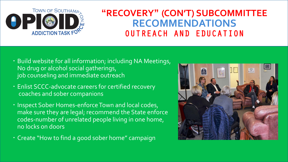

## **"RECOVERY" (CON'T) SUBCOMMITTEE RECOMMENDATIONS** OUTREACH AND EDUCATION

- Build website for all information; including NA Meetings, No drug or alcohol social gatherings, job counseling and immediate outreach
- Enlist SCCC-advocate careers for certified recovery coaches and sober companions
- Inspect Sober Homes-enforce Town and local codes, make sure they are legal; recommend the State enforce codes-number of unrelated people living in one home, no locks on doors
- Create "How to find a good sober home" campaign

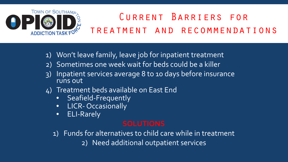

# Current Barriers for treatment and recommendations

- 1) Won't leave family, leave job for inpatient treatment
- 2) Sometimes one week wait for beds could be a killer
- 3) Inpatient services average 8 to 10 days before insurance runs out
- 4) Treatment beds available on East End
	- Seafield-Frequently
	- **•** LICR- Occasionally
	- ELI-Rarely

1) Funds for alternatives to child care while in treatment 2) Need additional outpatient services